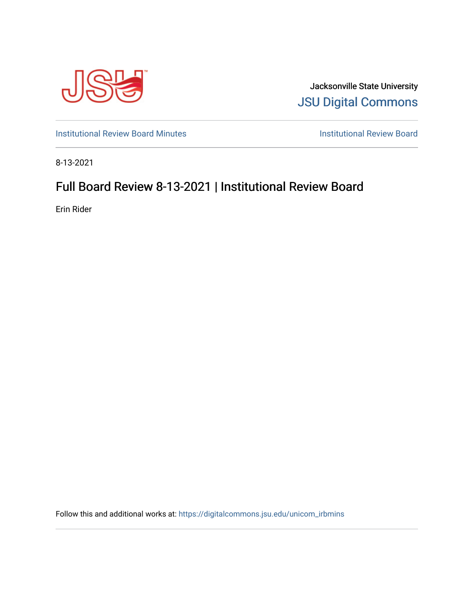

Jacksonville State University [JSU Digital Commons](https://digitalcommons.jsu.edu/) 

[Institutional Review Board Minutes](https://digitalcommons.jsu.edu/unicom_irbmins) **Institutional Review Board** 

8-13-2021

## Full Board Review 8-13-2021 | Institutional Review Board

Erin Rider

Follow this and additional works at: [https://digitalcommons.jsu.edu/unicom\\_irbmins](https://digitalcommons.jsu.edu/unicom_irbmins?utm_source=digitalcommons.jsu.edu%2Funicom_irbmins%2F1&utm_medium=PDF&utm_campaign=PDFCoverPages)